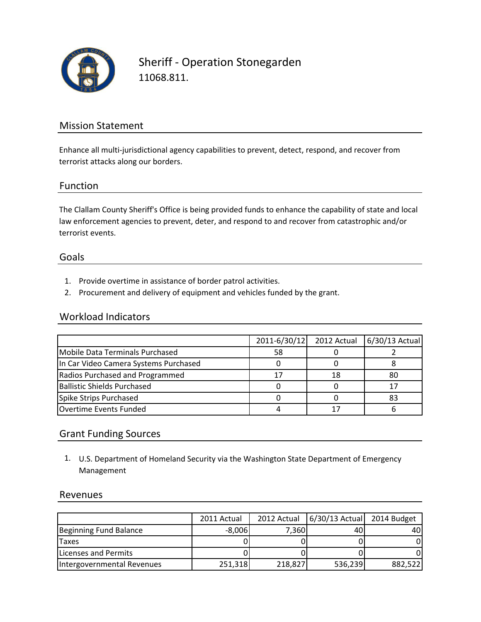

Sheriff - Operation Stonegarden 11068.811.

# Mission Statement

Enhance all multi-jurisdictional agency capabilities to prevent, detect, respond, and recover from terrorist attacks along our borders.

## Function

The Clallam County Sheriff's Office is being provided funds to enhance the capability of state and local law enforcement agencies to prevent, deter, and respond to and recover from catastrophic and/or terrorist events.

#### Goals

- 1. Provide overtime in assistance of border patrol activities.
- 2. Procurement and delivery of equipment and vehicles funded by the grant.

## Workload Indicators

|                                       | 2011-6/30/12 | 2012 Actual | 6/30/13 Actual |
|---------------------------------------|--------------|-------------|----------------|
| Mobile Data Terminals Purchased       | 58           |             |                |
| In Car Video Camera Systems Purchased |              |             |                |
| Radios Purchased and Programmed       |              |             | 80             |
| Ballistic Shields Purchased           |              |             |                |
| Spike Strips Purchased                |              |             | 83             |
| Overtime Events Funded                |              |             |                |

# Grant Funding Sources

1. U.S. Department of Homeland Security via the Washington State Department of Emergency Management

## Revenues

|                            | 2011 Actual | 2012 Actual | $6/30/13$ Actual | 2014 Budget |
|----------------------------|-------------|-------------|------------------|-------------|
| Beginning Fund Balance     | $-8,006$    | 7.360       | 40               | 40I         |
| <b>Taxes</b>               |             |             |                  |             |
| Licenses and Permits       |             |             |                  |             |
| Intergovernmental Revenues | 251,318     | 218,827     | 536,239          | 882,522     |